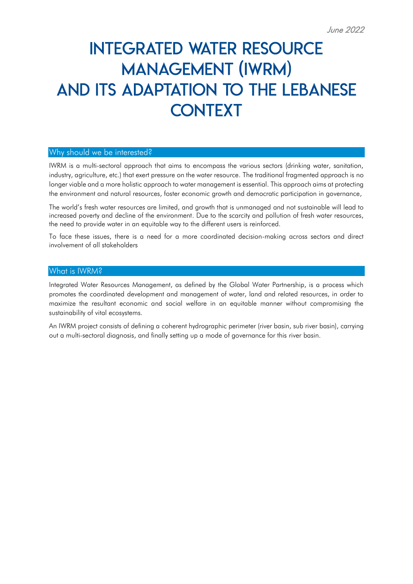# **INTEGRATED WATER RESOURCE MANAGEMENT (IWRM)** AND ITS ADAPTATION TO THE LEBANESE **CONTEXT**

## Why should we be interested?

IWRM is a multi-sectoral approach that aims to encompass the various sectors (drinking water, sanitation, industry, agriculture, etc.) that exert pressure on the water resource. The traditional fragmented approach is no longer viable and a more holistic approach to water management is essential. This approach aims at protecting the environment and natural resources, foster economic growth and democratic participation in governance,

The world's fresh water resources are limited, and growth that is unmanaged and not sustainable will lead to increased poverty and decline of the environment. Due to the scarcity and pollution of fresh water resources, the need to provide water in an equitable way to the different users is reinforced.

To face these issues, there is a need for a more coordinated decision-making across sectors and direct involvement of all stakeholders

## What is IWRM?

Integrated Water Resources Management, as defined by the Global Water Partnership, is a process which promotes the coordinated development and management of water, land and related resources, in order to maximize the resultant economic and social welfare in an equitable manner without compromising the sustainability of vital ecosystems.

An IWRM project consists of defining a coherent hydrographic perimeter (river basin, sub river basin), carrying out a multi-sectoral diagnosis, and finally setting up a mode of governance for this river basin.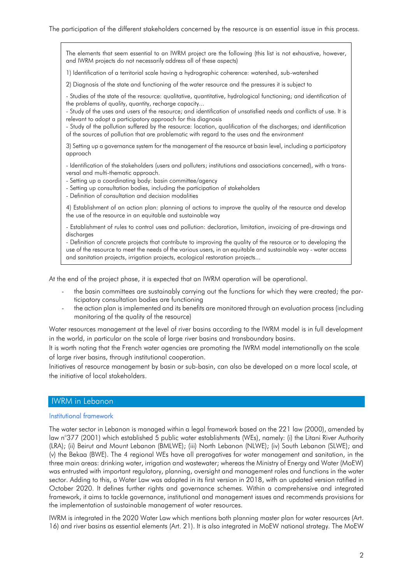#### The participation of the different stakeholders concerned by the resource is an essential issue in this process.

The elements that seem essential to an IWRM project are the following (this list is not exhaustive, however, and IWRM projects do not necessarily address all of these aspects)

1) Identification of a territorial scale having a hydrographic coherence: watershed, sub-watershed

2) Diagnosis of the state and functioning of the water resource and the pressures it is subject to

- Studies of the state of the resource: qualitative, quantitative, hydrological functioning; and identification of the problems of quality, quantity, recharge capacity...

- Study of the uses and users of the resource; and identification of unsatisfied needs and conflicts of use. It is relevant to adopt a participatory approach for this diagnosis

- Study of the pollution suffered by the resource: location, qualification of the discharges; and identification of the sources of pollution that are problematic with regard to the uses and the environment

3) Setting up a governance system for the management of the resource at basin level, including a participatory approach

- Identification of the stakeholders (users and polluters; institutions and associations concerned), with a transversal and multi-thematic approach.

- Setting up a coordinating body: basin committee/agency

- Setting up consultation bodies, including the participation of stakeholders

- Definition of consultation and decision modalities

4) Establishment of an action plan: planning of actions to improve the quality of the resource and develop the use of the resource in an equitable and sustainable way

- Establishment of rules to control uses and pollution: declaration, limitation, invoicing of pre-drawings and discharges

- Definition of concrete projects that contribute to improving the quality of the resource or to developing the use of the resource to meet the needs of the various users, in an equitable and sustainable way - water access and sanitation projects, irrigation projects, ecological restoration projects...

At the end of the project phase, it is expected that an IWRM operation will be operational.

- the basin committees are sustainably carrying out the functions for which they were created; the participatory consultation bodies are functioning
- the action plan is implemented and its benefits are monitored through an evaluation process (including monitoring of the quality of the resource)

Water resources management at the level of river basins according to the IWRM model is in full development in the world, in particular on the scale of large river basins and transboundary basins.

It is worth noting that the French water agencies are promoting the IWRM model internationally on the scale of large river basins, through institutional cooperation.

Initiatives of resource management by basin or sub-basin, can also be developed on a more local scale, at the initiative of local stakeholders.

#### IWRM in Lebanon

#### Institutional framework

The water sector in Lebanon is managed within a legal framework based on the 221 law (2000), amended by law n°377 (2001) which established 5 public water establishments (WEs), namely: (i) the Litani River Authority (LRA); (ii) Beirut and Mount Lebanon (BMLWE); (iii) North Lebanon (NLWE); (iv) South Lebanon (SLWE); and (v) the Bekaa (BWE). The 4 regional WEs have all prerogatives for water management and sanitation, in the three main areas: drinking water, irrigation and wastewater; whereas the Ministry of Energy and Water (MoEW) was entrusted with important regulatory, planning, oversight and management roles and functions in the water sector. Adding to this, a Water Law was adopted in its first version in 2018, with an updated version ratified in October 2020. It defines further rights and governance schemes. Within a comprehensive and integrated framework, it aims to tackle governance, institutional and management issues and recommends provisions for the implementation of sustainable management of water resources.

IWRM is integrated in the 2020 Water Law which mentions both planning master plan for water resources (Art. 16) and river basins as essential elements (Art. 21). It is also integrated in MoEW national strategy. The MoEW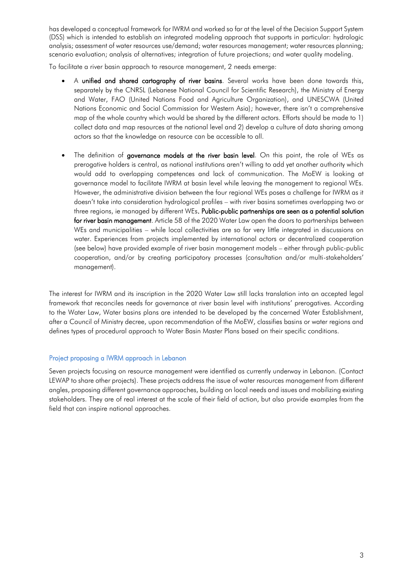has developed a conceptual framework for IWRM and worked so far at the level of the Decision Support System (DSS) which is intended to establish an integrated modeling approach that supports in particular: hydrologic analysis; assessment of water resources use/demand; water resources management; water resources planning; scenario evaluation; analysis of alternatives; integration of future projections; and water quality modeling.

To facilitate a river basin approach to resource management, 2 needs emerge:

- A unified and shared cartography of river basins. Several works have been done towards this, separately by the CNRSL (Lebanese National Council for Scientific Research), the Ministry of Energy and Water, FAO (United Nations Food and Agriculture Organization), and UNESCWA (United Nations Economic and Social Commission for Western Asia); however, there isn't a comprehensive map of the whole country which would be shared by the different actors. Efforts should be made to 1) collect data and map resources at the national level and 2) develop a culture of data sharing among actors so that the knowledge on resource can be accessible to all.
- The definition of governance models at the river basin level. On this point, the role of WEs as prerogative holders is central, as national institutions aren't willing to add yet another authority which would add to overlapping competences and lack of communication. The MoEW is looking at governance model to facilitate IWRM at basin level while leaving the management to regional WEs. However, the administrative division between the four regional WEs poses a challenge for IWRM as it doesn't take into consideration hydrological profiles – with river basins sometimes overlapping two or three regions, ie managed by different WEs. Public-public partnerships are seen as a potential solution for river basin management. Article 58 of the 2020 Water Law open the doors to partnerships between WEs and municipalities – while local collectivities are so far very little integrated in discussions on water. Experiences from projects implemented by international actors or decentralized cooperation (see below) have provided example of river basin management models – either through public-public cooperation, and/or by creating participatory processes (consultation and/or multi-stakeholders' management).

The interest for IWRM and its inscription in the 2020 Water Law still lacks translation into an accepted legal framework that reconciles needs for governance at river basin level with institutions' prerogatives. According to the Water Law, Water basins plans are intended to be developed by the concerned Water Establishment, after a Council of Ministry decree, upon recommendation of the MoEW, classifies basins or water regions and defines types of procedural approach to Water Basin Master Plans based on their specific conditions.

## Project proposing a IWRM approach in Lebanon

Seven projects focusing on resource management were identified as currently underway in Lebanon. (Contact LEWAP to share other projects). These projects address the issue of water resources management from different angles, proposing different governance approaches, building on local needs and issues and mobilizing existing stakeholders. They are of real interest at the scale of their field of action, but also provide examples from the field that can inspire national approaches.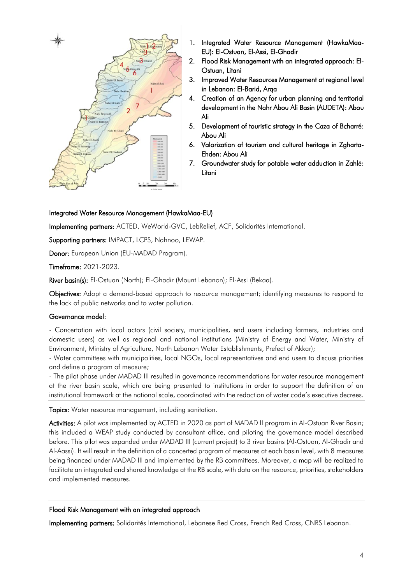

- 1. Integrated Water Resource Management (HawkaMaa-EU): El-Ostuan, El-Assi, El-Ghadir
- 2. Flood Risk Management with an integrated approach: El-Ostuan, Litani
- 3. Improved Water Resources Management at regional level in Lebanon: El-Barid, Arqa
- 4. Creation of an Agency for urban planning and territorial development in the Nahr Abou Ali Basin (AUDETA): Abou Ali
- 5. Development of touristic strategy in the Caza of Bcharré: Abou Ali
- 6. Valorization of tourism and cultural heritage in Zgharta-Ehden: Abou Ali
- 7. Groundwater study for potable water adduction in Zahlé: Litani

## Integrated Water Resource Management (HawkaMaa-EU)

Implementing partners: ACTED, WeWorld-GVC, LebRelief, ACF, Solidarités International.

Supporting partners: IMPACT, LCPS, Nahnoo, LEWAP.

Donor: European Union (EU-MADAD Program).

Timeframe: 2021-2023.

River basin(s): El-Ostuan (North); El-Ghadir (Mount Lebanon); El-Assi (Bekaa).

Objectives: Adopt a demand-based approach to resource management; identifying measures to respond to the lack of public networks and to water pollution.

## Governance model:

- Concertation with local actors (civil society, municipalities, end users including farmers, industries and domestic users) as well as regional and national institutions (Ministry of Energy and Water, Ministry of Environment, Ministry of Agriculture, North Lebanon Water Establishments, Prefect of Akkar);

- Water committees with municipalities, local NGOs, local representatives and end users to discuss priorities and define a program of measure;

- The pilot phase under MADAD III resulted in governance recommendations for water resource management at the river basin scale, which are being presented to institutions in order to support the definition of an institutional framework at the national scale, coordinated with the redaction of water code's executive decrees.

Topics: Water resource management, including sanitation.

Activities: A pilot was implemented by ACTED in 2020 as part of MADAD II program in Al-Ostuan River Basin; this included a WEAP study conducted by consultant office, and piloting the governance model described before. This pilot was expanded under MADAD III (current project) to 3 river basins (Al-Ostuan, Al-Ghadir and Al-Aassi). It will result in the definition of a concerted program of measures at each basin level, with 8 measures being financed under MADAD III and implemented by the RB committees. Moreover, a map will be realized to facilitate an integrated and shared knowledge at the RB scale, with data on the resource, priorities, stakeholders and implemented measures.

## Flood Risk Management with an integrated approach

Implementing partners: Solidarités International, Lebanese Red Cross, French Red Cross, CNRS Lebanon.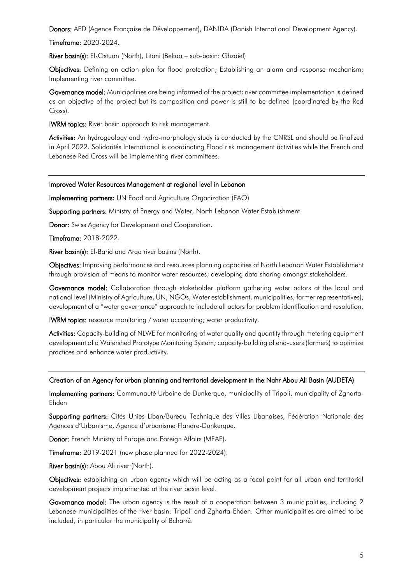Donors: AFD (Agence Française de Développement), DANIDA (Danish International Development Agency).

Timeframe: 2020-2024.

River basin(s): El-Ostuan (North), Litani (Bekaa – sub-basin: Ghzaiel)

Objectives: Defining an action plan for flood protection; Establishing an alarm and response mechanism; Implementing river committee.

Governance model: Municipalities are being informed of the project; river committee implementation is defined as an objective of the project but its composition and power is still to be defined (coordinated by the Red Cross).

IWRM topics: River basin approach to risk management.

Activities: An hydrogeology and hydro-morphology study is conducted by the CNRSL and should be finalized in April 2022. Solidarités International is coordinating Flood risk management activities while the French and Lebanese Red Cross will be implementing river committees.

Improved Water Resources Management at regional level in Lebanon

Implementing partners: UN Food and Agriculture Organization (FAO)

Supporting partners: Ministry of Energy and Water, North Lebanon Water Establishment.

Donor: Swiss Agency for Development and Cooperation.

Timeframe: 2018-2022.

River basin(s): El-Barid and Arqa river basins (North).

Objectives: Improving performances and resources planning capacities of North Lebanon Water Establishment through provision of means to monitor water resources; developing data sharing amongst stakeholders.

Governance model: Collaboration through stakeholder platform gathering water actors at the local and national level (Ministry of Agriculture, UN, NGOs, Water establishment, municipalities, farmer representatives); development of a "water governance" approach to include all actors for problem identification and resolution.

IWRM topics: resource monitoring / water accounting; water productivity.

Activities: Capacity-building of NLWE for monitoring of water quality and quantity through metering equipment development of a Watershed Prototype Monitoring System; capacity-building of end-users (farmers) to optimize practices and enhance water productivity.

#### Creation of an Agency for urban planning and territorial development in the Nahr Abou Ali Basin (AUDETA)

Implementing partners: Communauté Urbaine de Dunkerque, municipality of Tripoli, municipality of Zgharta-Ehden

Supporting partners: Cités Unies Liban/Bureau Technique des Villes Libanaises, Fédération Nationale des Agences d'Urbanisme, Agence d'urbanisme Flandre-Dunkerque.

Donor: French Ministry of Europe and Foreign Affairs (MEAE).

Timeframe: 2019-2021 (new phase planned for 2022-2024).

River basin(s): Abou Ali river (North).

Objectives: establishing an urban agency which will be acting as a focal point for all urban and territorial development projects implemented at the river basin level.

Governance model: The urban agency is the result of a cooperation between 3 municipalities, including 2 Lebanese municipalities of the river basin: Tripoli and Zgharta-Ehden. Other municipalities are aimed to be included, in particular the municipality of Bcharré.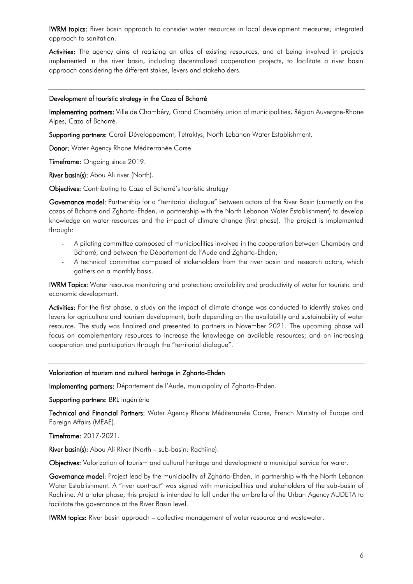IWRM topics: River basin approach to consider water resources in local development measures; integrated approach to sanitation.

Activities: The agency aims at realizing an atlas of existing resources, and at being involved in projects implemented in the river basin, including decentralized cooperation projects, to facilitate a river basin approach considering the different stakes, levers and stakeholders.

#### Development of touristic strategy in the Caza of Bcharré

Implementing partners: Ville de Chambéry, Grand Chambéry union of municipalities, Région Auvergne-Rhone Alpes, Caza of Bcharré.

Supporting partners: Corail Développement, Tetraktys, North Lebanon Water Establishment.

Donor: Water Agency Rhone Méditerranée Corse.

Timeframe: Ongoing since 2019.

River basin(s): Abou Ali river (North).

Objectives: Contributing to Caza of Bcharré's touristic strategy

Governance model: Partnership for a "territorial dialogue" between actors of the River Basin (currently on the cazas of Bcharré and Zgharta-Ehden, in partnership with the North Lebanon Water Establishment) to develop knowledge on water resources and the impact of climate change (first phase). The project is implemented through:

- A piloting committee composed of municipalities involved in the cooperation between Chambéry and Bcharré, and between the Département de l'Aude and Zgharta-Ehden;
- A technical committee composed of stakeholders from the river basin and research actors, which gathers on a monthly basis.

IWRM Topics: Water resource monitoring and protection; availability and productivity of water for touristic and economic development.

Activities: For the first phase, a study on the impact of climate change was conducted to identify stakes and levers for agriculture and tourism development, both depending on the availability and sustainability of water resource. The study was finalized and presented to partners in November 2021. The upcoming phase will focus on complementary resources to increase the knowledge on available resources; and on increasing cooperation and participation through the "territorial dialogue".

## Valorization of tourism and cultural heritage in Zgharta-Ehden

Implementing partners: Département de l'Aude, municipality of Zgharta-Ehden.

Supporting partners: BRL Ingéniérie

Technical and Financial Partners: Water Agency Rhone Méditerranée Corse, French Ministry of Europe and Foreign Affairs (MEAE).

Timeframe: 2017-2021.

River basin(s): Abou Ali River (North – sub-basin: Rachiine).

Objectives: Valorization of tourism and cultural heritage and development a municipal service for water.

Governance model: Project lead by the municipality of Zgharta-Ehden, in partnership with the North Lebanon Water Establishment. A "river contract" was signed with municipalities and stakeholders of the sub-basin of Rachiine. At a later phase, this project is intended to fall under the umbrella of the Urban Agency AUDETA to facilitate the governance at the River Basin level.

IWRM topics: River basin approach – collective management of water resource and wastewater.